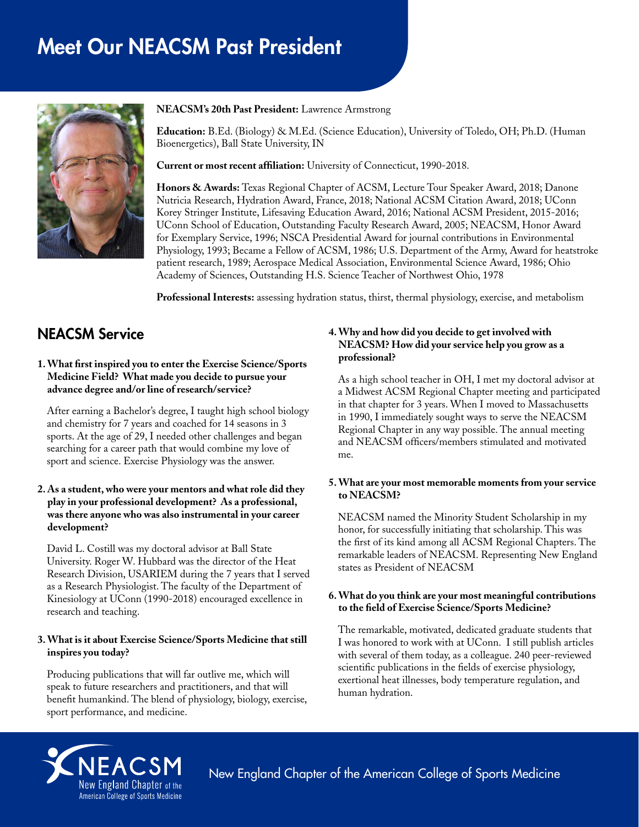# Meet Our NEACSM Past President



#### **NEACSM's 20th Past President:** Lawrence Armstrong

**Education:** B.Ed. (Biology) & M.Ed. (Science Education), University of Toledo, OH; Ph.D. (Human Bioenergetics), Ball State University, IN

**Current or most recent affiliation:** University of Connecticut, 1990-2018.

**Honors & Awards:** Texas Regional Chapter of ACSM, Lecture Tour Speaker Award, 2018; Danone Nutricia Research, Hydration Award, France, 2018; National ACSM Citation Award, 2018; UConn Korey Stringer Institute, Lifesaving Education Award, 2016; National ACSM President, 2015-2016; UConn School of Education, Outstanding Faculty Research Award, 2005; NEACSM, Honor Award for Exemplary Service, 1996; NSCA Presidential Award for journal contributions in Environmental Physiology, 1993; Became a Fellow of ACSM, 1986; U.S. Department of the Army, Award for heatstroke patient research, 1989; Aerospace Medical Association, Environmental Science Award, 1986; Ohio Academy of Sciences, Outstanding H.S. Science Teacher of Northwest Ohio, 1978

**Professional Interests:** assessing hydration status, thirst, thermal physiology, exercise, and metabolism

# NEACSM Service

#### **1. What first inspired you to enter the Exercise Science/Sports Medicine Field? What made you decide to pursue your advance degree and/or line of research/service?**

After earning a Bachelor's degree, I taught high school biology and chemistry for 7 years and coached for 14 seasons in 3 sports. At the age of 29, I needed other challenges and began searching for a career path that would combine my love of sport and science. Exercise Physiology was the answer.

#### **2. As a student, who were your mentors and what role did they play in your professional development? As a professional, was there anyone who was also instrumental in your career development?**

David L. Costill was my doctoral advisor at Ball State University. Roger W. Hubbard was the director of the Heat Research Division, USARIEM during the 7 years that I served as a Research Physiologist. The faculty of the Department of Kinesiology at UConn (1990-2018) encouraged excellence in research and teaching.

#### **3. What is it about Exercise Science/Sports Medicine that still inspires you today?**

Producing publications that will far outlive me, which will speak to future researchers and practitioners, and that will benefit humankind. The blend of physiology, biology, exercise, sport performance, and medicine.

### **4. Why and how did you decide to get involved with NEACSM? How did your service help you grow as a professional?**

As a high school teacher in OH, I met my doctoral advisor at a Midwest ACSM Regional Chapter meeting and participated in that chapter for 3 years. When I moved to Massachusetts in 1990, I immediately sought ways to serve the NEACSM Regional Chapter in any way possible. The annual meeting and NEACSM officers/members stimulated and motivated me.

#### **5. What are your most memorable moments from your service to NEACSM?**

NEACSM named the Minority Student Scholarship in my honor, for successfully initiating that scholarship. This was the first of its kind among all ACSM Regional Chapters. The remarkable leaders of NEACSM. Representing New England states as President of NEACSM

# **6. What do you think are your most meaningful contributions to the field of Exercise Science/Sports Medicine?**

The remarkable, motivated, dedicated graduate students that I was honored to work with at UConn. I still publish articles with several of them today, as a colleague. 240 peer-reviewed scientific publications in the fields of exercise physiology, exertional heat illnesses, body temperature regulation, and human hydration.



New England Chapter of the American College of Sports Medicine